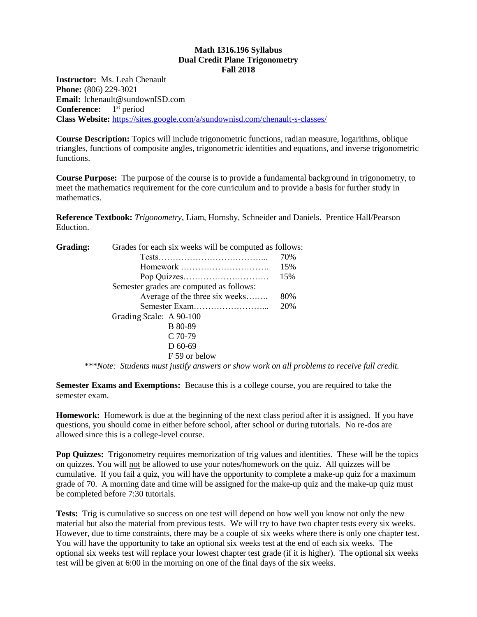### **Math 1316.196 Syllabus Dual Credit Plane Trigonometry Fall 2018**

**Instructor:** Ms. Leah Chenault **Phone:** (806) 229-3021 **Email:** lchenault@sundownISD.com **Conference:** 1<sup>st</sup> period **Class Website:** <https://sites.google.com/a/sundownisd.com/chenault-s-classes/>

**Course Description:** Topics will include trigonometric functions, radian measure, logarithms, oblique triangles, functions of composite angles, trigonometric identities and equations, and inverse trigonometric functions.

**Course Purpose:** The purpose of the course is to provide a fundamental background in trigonometry, to meet the mathematics requirement for the core curriculum and to provide a basis for further study in mathematics.

**Reference Textbook:** *Trigonometry*, Liam, Hornsby, Schneider and Daniels. Prentice Hall/Pearson Eduction.

| Grading: | Grades for each six weeks will be computed as follows: |     |
|----------|--------------------------------------------------------|-----|
|          |                                                        | 70% |
|          | Homework                                               | 15% |
|          |                                                        | 15% |
|          | Semester grades are computed as follows:               |     |
|          | Average of the three six weeks                         | 80% |
|          |                                                        | 20% |
|          | Grading Scale: A 90-100                                |     |
|          | <b>B</b> 80-89                                         |     |
|          | $C$ 70-79                                              |     |
|          | $D$ 60-69                                              |     |
|          | F 59 or below                                          |     |

*\*\*\*Note: Students must justify answers or show work on all problems to receive full credit.*

**Semester Exams and Exemptions:** Because this is a college course, you are required to take the semester exam.

**Homework:** Homework is due at the beginning of the next class period after it is assigned. If you have questions, you should come in either before school, after school or during tutorials. No re-dos are allowed since this is a college-level course.

**Pop Quizzes:** Trigonometry requires memorization of trig values and identities. These will be the topics on quizzes. You will not be allowed to use your notes/homework on the quiz. All quizzes will be cumulative. If you fail a quiz, you will have the opportunity to complete a make-up quiz for a maximum grade of 70. A morning date and time will be assigned for the make-up quiz and the make-up quiz must be completed before 7:30 tutorials.

**Tests:** Trig is cumulative so success on one test will depend on how well you know not only the new material but also the material from previous tests. We will try to have two chapter tests every six weeks. However, due to time constraints, there may be a couple of six weeks where there is only one chapter test. You will have the opportunity to take an optional six weeks test at the end of each six weeks. The optional six weeks test will replace your lowest chapter test grade (if it is higher). The optional six weeks test will be given at 6:00 in the morning on one of the final days of the six weeks.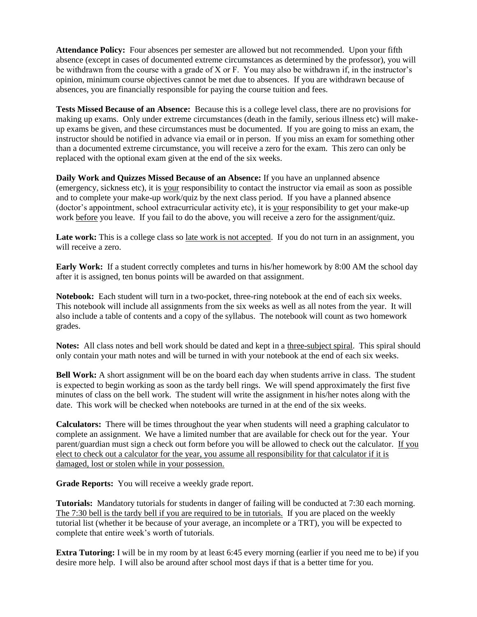**Attendance Policy:** Four absences per semester are allowed but not recommended. Upon your fifth absence (except in cases of documented extreme circumstances as determined by the professor), you will be withdrawn from the course with a grade of X or F. You may also be withdrawn if, in the instructor's opinion, minimum course objectives cannot be met due to absences. If you are withdrawn because of absences, you are financially responsible for paying the course tuition and fees.

**Tests Missed Because of an Absence:** Because this is a college level class, there are no provisions for making up exams. Only under extreme circumstances (death in the family, serious illness etc) will makeup exams be given, and these circumstances must be documented. If you are going to miss an exam, the instructor should be notified in advance via email or in person. If you miss an exam for something other than a documented extreme circumstance, you will receive a zero for the exam. This zero can only be replaced with the optional exam given at the end of the six weeks.

**Daily Work and Quizzes Missed Because of an Absence:** If you have an unplanned absence (emergency, sickness etc), it is your responsibility to contact the instructor via email as soon as possible and to complete your make-up work/quiz by the next class period. If you have a planned absence (doctor's appointment, school extracurricular activity etc), it is your responsibility to get your make-up work before you leave. If you fail to do the above, you will receive a zero for the assignment/quiz.

Late work: This is a college class so late work is not accepted. If you do not turn in an assignment, you will receive a zero.

**Early Work:** If a student correctly completes and turns in his/her homework by 8:00 AM the school day after it is assigned, ten bonus points will be awarded on that assignment.

**Notebook:** Each student will turn in a two-pocket, three-ring notebook at the end of each six weeks. This notebook will include all assignments from the six weeks as well as all notes from the year. It will also include a table of contents and a copy of the syllabus. The notebook will count as two homework grades.

**Notes:** All class notes and bell work should be dated and kept in a three-subject spiral. This spiral should only contain your math notes and will be turned in with your notebook at the end of each six weeks.

**Bell Work:** A short assignment will be on the board each day when students arrive in class. The student is expected to begin working as soon as the tardy bell rings. We will spend approximately the first five minutes of class on the bell work. The student will write the assignment in his/her notes along with the date. This work will be checked when notebooks are turned in at the end of the six weeks.

**Calculators:** There will be times throughout the year when students will need a graphing calculator to complete an assignment. We have a limited number that are available for check out for the year. Your parent/guardian must sign a check out form before you will be allowed to check out the calculator. If you elect to check out a calculator for the year, you assume all responsibility for that calculator if it is damaged, lost or stolen while in your possession.

**Grade Reports:** You will receive a weekly grade report.

**Tutorials:** Mandatory tutorials for students in danger of failing will be conducted at 7:30 each morning. The 7:30 bell is the tardy bell if you are required to be in tutorials. If you are placed on the weekly tutorial list (whether it be because of your average, an incomplete or a TRT), you will be expected to complete that entire week's worth of tutorials.

**Extra Tutoring:** I will be in my room by at least 6:45 every morning (earlier if you need me to be) if you desire more help. I will also be around after school most days if that is a better time for you.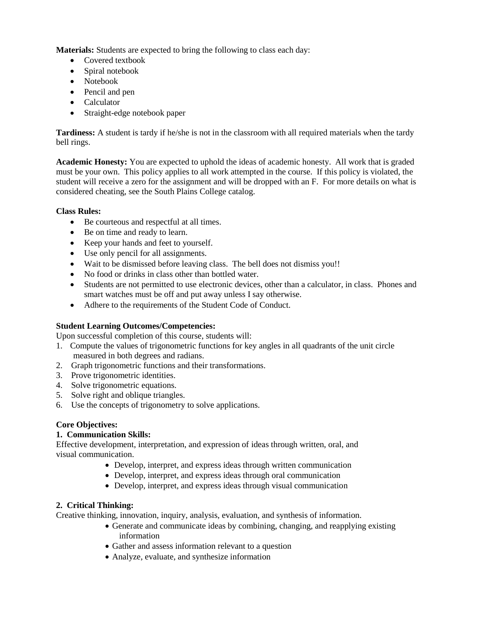**Materials:** Students are expected to bring the following to class each day:

- Covered textbook
- Spiral notebook
- Notebook
- Pencil and pen
- Calculator
- Straight-edge notebook paper

**Tardiness:** A student is tardy if he/she is not in the classroom with all required materials when the tardy bell rings.

**Academic Honesty:** You are expected to uphold the ideas of academic honesty. All work that is graded must be your own. This policy applies to all work attempted in the course. If this policy is violated, the student will receive a zero for the assignment and will be dropped with an F. For more details on what is considered cheating, see the South Plains College catalog.

# **Class Rules:**

- Be courteous and respectful at all times.
- Be on time and ready to learn.
- Keep your hands and feet to yourself.
- Use only pencil for all assignments.
- Wait to be dismissed before leaving class. The bell does not dismiss you!!
- No food or drinks in class other than bottled water.
- Students are not permitted to use electronic devices, other than a calculator, in class. Phones and smart watches must be off and put away unless I say otherwise.
- Adhere to the requirements of the Student Code of Conduct.

# **Student Learning Outcomes/Competencies:**

Upon successful completion of this course, students will:

- 1. Compute the values of trigonometric functions for key angles in all quadrants of the unit circle measured in both degrees and radians.
- 2. Graph trigonometric functions and their transformations.
- 3. Prove trigonometric identities.
- 4. Solve trigonometric equations.
- 5. Solve right and oblique triangles.
- 6. Use the concepts of trigonometry to solve applications.

# **Core Objectives:**

# **1. Communication Skills:**

Effective development, interpretation, and expression of ideas through written, oral, and visual communication.

- Develop, interpret, and express ideas through written communication
- Develop, interpret, and express ideas through oral communication
- Develop, interpret, and express ideas through visual communication

# **2. Critical Thinking:**

Creative thinking, innovation, inquiry, analysis, evaluation, and synthesis of information.

- Generate and communicate ideas by combining, changing, and reapplying existing information
- Gather and assess information relevant to a question
- Analyze, evaluate, and synthesize information